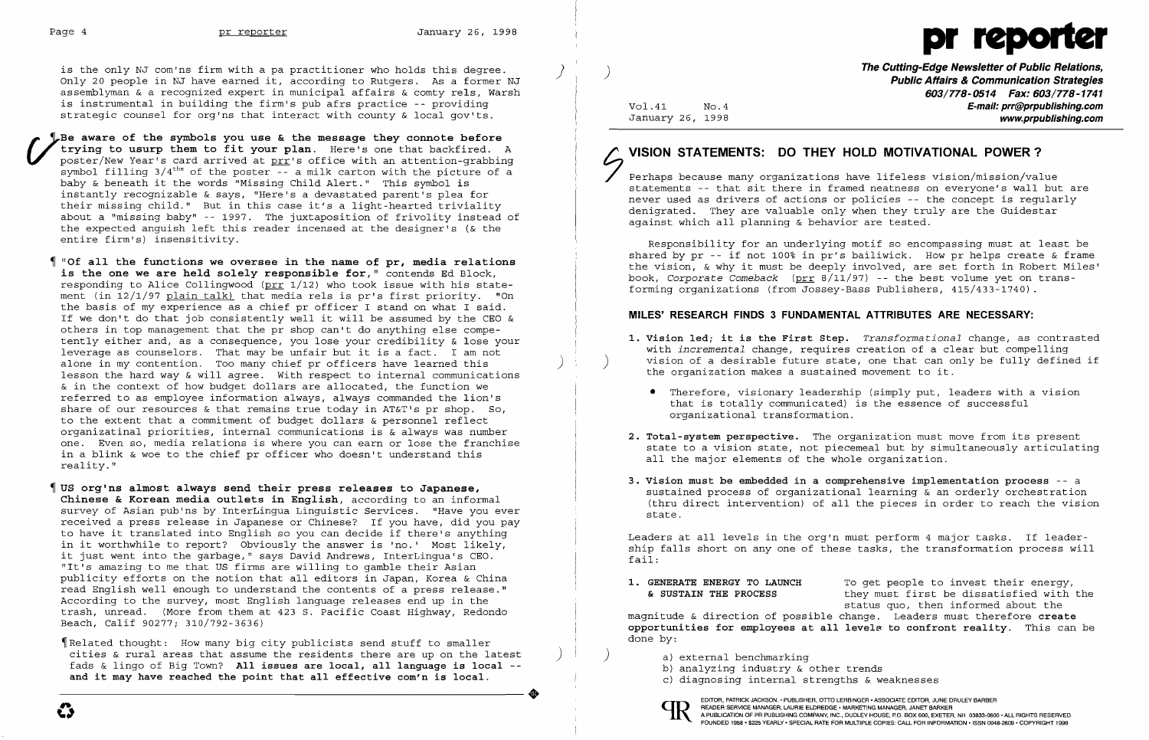

is the only NJ com'ns firm with a pa practitioner who holds this degree.<br>Only 20 people in NJ have earned it, according to Rutgers. As a former NJ assemblyman & a recognized expert in municipal affairs & comty rels, Warsh is instrumental in building the firm's pub afrs practice -- providing strategic counsel for org'ns that interact with county & local gov'ts.

Be aware of the symbols you use & the message they connote before<br> *rying to usurp them to fit your plan.* Here's one that backfired. A<br>
poster/New Year's card arrived at prr's office with an attention-grabbing<br>
arrive at Be aware of the symbols you use & the message they connote before<br>trying to usurp them to fit your plan. Here's one that backfired. A symbol filling 3/4<sup>ths</sup> of the poster -- a milk carton with the picture of a<br>baby & beneath it the words "Missing Child Alert." This symbol is baby & beneath it the words "Missing Child Alert." This symbol is instantly recognizable & says, "Here's a devastated parent's plea for their missing child." But in this case it's a light-hearted triviality about a "missing baby" -- 1997. The juxtaposition of frivolity instead of the expected anguish left this reader incensed at the designer's (& the entire firm's) insensitivity.

 **"Of all the functions we oversee in the name of pr, media relations is the one we are held solely responsible for,"** contends Ed Block, responding to Alice Collingwood ( $\text{prr } 1/12$ ) who took issue with his statement (in 12/1/97 plain talk) that media rels is pr's first priority. "On the basis of my experience as a chief pr officer I stand on what I said. If we don't do that job consistently well it will be assumed by the CEO & others in top management that the pr shop can't do anything else competently either and, as a consequence, you lose your credibility & lose your leverage as counselors. That may be unfair but it is a fact. I am not alone in my contention. Too many chief pr officers have learned this lesson the hard way & will agree. With respect to internal communications & in the context of how budget dollars are allocated, the function we referred to as employee information always, always commanded the lion's share of our resources & that remains true today in AT&T's pr shop. So, to the extent that a commitment of budget dollars & personnel reflect organizatinal priorities, internal communications is & always was number one. Even so, media relations is where you can earn or lose the franchise in a blink & woe to the chief pr officer who doesn't understand this reality. "

 $\parallel$  Related thought: How many big city publicists send stuff to smaller cities & rural areas that assume the residents there are up on the latest ) fads & lingo of Big Town? **All issues are local, all language is local**  ----------------------+ **and it may have reached the point that all effective com'n is local.** 

# $\left( \frac{1}{2} \right)$ **VISION STATEMENTS: DO THEY HOLD MOTIVATIONAL POWER?**

**1. Vision led; it is the First Step.** *Transformational* change, as contrasted with *incremental* change, requires creation of a clear but compelling vision of a desirable future state, one that can only be fully defined if

 **US orglns almost always send their press releases to Japanese, Chinese & Korean media outlets in English,** according to an informal survey of Asian pub'ns by InterLingua Linguistic Services. "Have you ever received a press release in Japanese or Chinese? If you have, did you pay to have it translated into English so you can decide if there's anything in it worthwhile to report? Obviously the answer is 'no.' Most likely, it just went into the garbage," says David Andrews, InterLingua's CEO. "It's amazing to me that US firms are willing to gamble their Asian publicity efforts on the notion that all editors in Japan, Korea & China read English well enough to understand the contents of a press release." According to the survey, most English language releases end up in the trash, unread. (More from them at 423 S. Pacific Coast Highway, Redondo Beach, Calif 90277; 310/792-3636)

**1. GENERATE ENERGY TO LAUNCH** To get people to invest their energy,<br>**6. SUSTAIN THE PROCESS** they must first be dissatisfied with they must first be dissatisfied with the status quo, then informed about the magnitude & direction of possible change. Leaders must therefore **create opportunities for employees at all** level~ **to confront reality.** This can be done by:

- a) external benchmarking
- b} analyzing industry & other trends
- c} diagnosing internal strengths & weaknesses

**The Cutting-Edge Newsletter of Public Relations,** ) **Public Affairs & Communication Strategies 603/778-0514 Fax: 603/778-1741**  Vol. 41 No. 4 **No. 4** No. 4 January 26, 1998 **www.prpublishing.com** 

Perhaps because many organizations have lifeless vision/mission/value statements -- that sit there in framed neatness on everyone's wall but are never used as drivers of actions or policies -- the concept is regularly denigrated. They are valuable only when they truly are the Guidestar against which all planning & behavior are tested.

Responsibility for an underlying motif so encompassing must at least be shared by pr -- if not 100% in pr's bailiwick. How pr helps create & frame the vision, & why it must be deeply involved, are set forth in Robert Miles' book, *Corporate Comeback* (prr 8/11/97) -- the best volume yet on trans-

forming organizations (from Jossey-Bass Publishers, 415/433-1740).

### **MILES' RESEARCH FINDS 3 FUNDAMENTAL ATTRIBUTES ARE NECESSARY:**

• Therefore, visionary leadership (simply put, leaders with a vision

- the organization makes a sustained movement to it.
	- that is totally communicated) is the essence of successful organizational transformation.
- **2. Total-system perspective.** The organization must move from its present all the major elements of the whole organization.
- state.

state to a vision state, not piecemeal but by simultaneously articulating

**3. Vision must be embedded in a comprehensive implementation process** -- <sup>a</sup> sustained process of organizational learning & an orderly orchestration (thru direct intervention) of all the pieces in order to reach the vision

Leaders at all levels in the org'n must perform 4 major tasks. If leadership falls short on any one of these tasks, the transformation process will fail:



EDITOR, PATRICK JACKSON.• PUBLISHER, OTTO LERBINGER • ASSOCIATE EDITOR, JUNE DRULEY BARBER